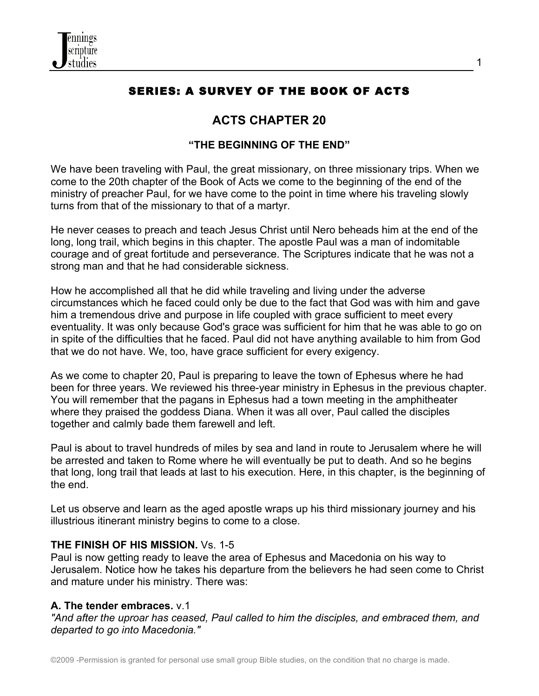

# SERIES: A SURVEY OF THE BOOK OF ACTS

# **ACTS CHAPTER 20**

#### **"THE BEGINNING OF THE END"**

We have been traveling with Paul, the great missionary, on three missionary trips. When we come to the 20th chapter of the Book of Acts we come to the beginning of the end of the ministry of preacher Paul, for we have come to the point in time where his traveling slowly turns from that of the missionary to that of a martyr.

He never ceases to preach and teach Jesus Christ until Nero beheads him at the end of the long, long trail, which begins in this chapter. The apostle Paul was a man of indomitable courage and of great fortitude and perseverance. The Scriptures indicate that he was not a strong man and that he had considerable sickness.

How he accomplished all that he did while traveling and living under the adverse circumstances which he faced could only be due to the fact that God was with him and gave him a tremendous drive and purpose in life coupled with grace sufficient to meet every eventuality. It was only because God's grace was sufficient for him that he was able to go on in spite of the difficulties that he faced. Paul did not have anything available to him from God that we do not have. We, too, have grace sufficient for every exigency.

As we come to chapter 20, Paul is preparing to leave the town of Ephesus where he had been for three years. We reviewed his three-year ministry in Ephesus in the previous chapter. You will remember that the pagans in Ephesus had a town meeting in the amphitheater where they praised the goddess Diana. When it was all over, Paul called the disciples together and calmly bade them farewell and left.

Paul is about to travel hundreds of miles by sea and land in route to Jerusalem where he will be arrested and taken to Rome where he will eventually be put to death. And so he begins that long, long trail that leads at last to his execution. Here, in this chapter, is the beginning of the end.

Let us observe and learn as the aged apostle wraps up his third missionary journey and his illustrious itinerant ministry begins to come to a close.

#### **THE FINISH OF HIS MISSION.** Vs. 1-5

Paul is now getting ready to leave the area of Ephesus and Macedonia on his way to Jerusalem. Notice how he takes his departure from the believers he had seen come to Christ and mature under his ministry. There was:

#### **A. The tender embraces.** v.1

*"And after the uproar has ceased, Paul called to him the disciples, and embraced them, and departed to go into Macedonia."*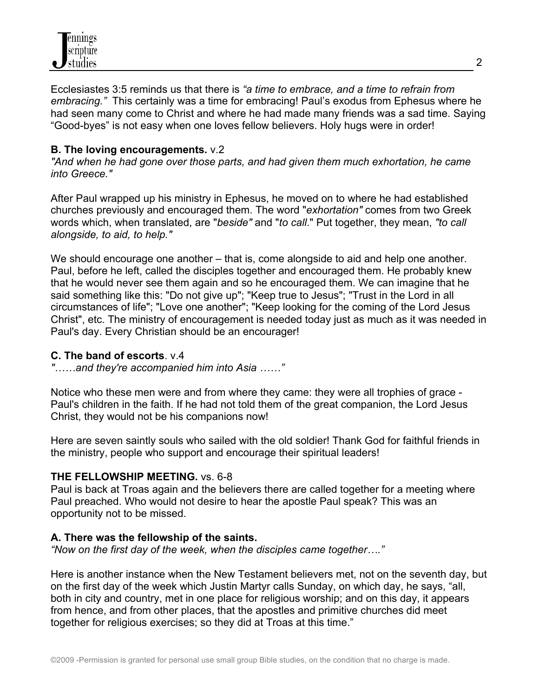

Ecclesiastes 3:5 reminds us that there is *"a time to embrace, and a time to refrain from embracing."* This certainly was a time for embracing! Paul's exodus from Ephesus where he had seen many come to Christ and where he had made many friends was a sad time. Saying "Good-byes" is not easy when one loves fellow believers. Holy hugs were in order!

#### **B. The loving encouragements.** v.2

*"And when he had gone over those parts, and had given them much exhortation, he came into Greece."*

After Paul wrapped up his ministry in Ephesus, he moved on to where he had established churches previously and encouraged them. The word "*exhortation"* comes from two Greek words which, when translated, are "*beside"* and "*to call*." Put together, they mean, *"to call alongside, to aid, to help."*

We should encourage one another – that is, come alongside to aid and help one another. Paul, before he left, called the disciples together and encouraged them. He probably knew that he would never see them again and so he encouraged them. We can imagine that he said something like this: "Do not give up"; "Keep true to Jesus"; "Trust in the Lord in all circumstances of life"; "Love one another"; "Keep looking for the coming of the Lord Jesus Christ", etc. The ministry of encouragement is needed today just as much as it was needed in Paul's day. Every Christian should be an encourager!

#### **C. The band of escorts**. v.4

*"……and they're accompanied him into Asia ……"*

Notice who these men were and from where they came: they were all trophies of grace - Paul's children in the faith. If he had not told them of the great companion, the Lord Jesus Christ, they would not be his companions now!

Here are seven saintly souls who sailed with the old soldier! Thank God for faithful friends in the ministry, people who support and encourage their spiritual leaders!

#### **THE FELLOWSHIP MEETING.** vs. 6-8

Paul is back at Troas again and the believers there are called together for a meeting where Paul preached. Who would not desire to hear the apostle Paul speak? This was an opportunity not to be missed.

#### **A. There was the fellowship of the saints.**

*"Now on the first day of the week, when the disciples came together…."*

Here is another instance when the New Testament believers met, not on the seventh day, but on the first day of the week which Justin Martyr calls Sunday, on which day, he says, "all, both in city and country, met in one place for religious worship; and on this day, it appears from hence, and from other places, that the apostles and primitive churches did meet together for religious exercises; so they did at Troas at this time."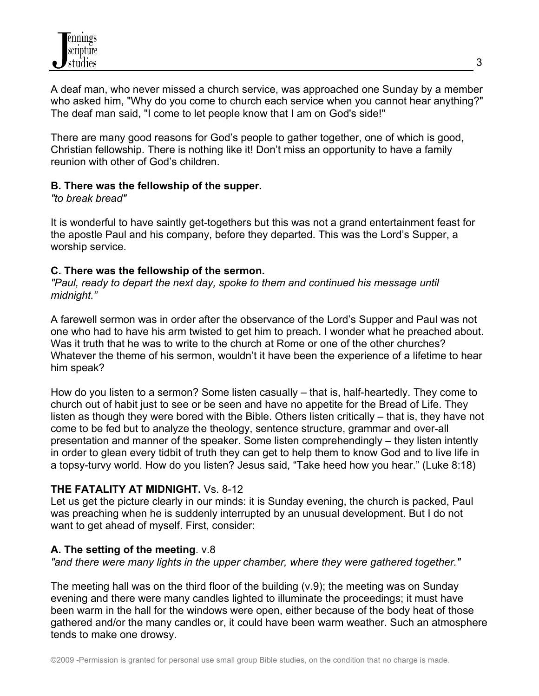A deaf man, who never missed a church service, was approached one Sunday by a member who asked him, "Why do you come to church each service when you cannot hear anything?" The deaf man said, "I come to let people know that I am on God's side!"

There are many good reasons for God's people to gather together, one of which is good, Christian fellowship. There is nothing like it! Don't miss an opportunity to have a family reunion with other of God's children.

# **B. There was the fellowship of the supper.**

*"to break bread"*

It is wonderful to have saintly get-togethers but this was not a grand entertainment feast for the apostle Paul and his company, before they departed. This was the Lord's Supper, a worship service.

# **C. There was the fellowship of the sermon.**

*"Paul, ready to depart the next day, spoke to them and continued his message until midnight."*

A farewell sermon was in order after the observance of the Lord's Supper and Paul was not one who had to have his arm twisted to get him to preach. I wonder what he preached about. Was it truth that he was to write to the church at Rome or one of the other churches? Whatever the theme of his sermon, wouldn't it have been the experience of a lifetime to hear him speak?

How do you listen to a sermon? Some listen casually – that is, half-heartedly. They come to church out of habit just to see or be seen and have no appetite for the Bread of Life. They listen as though they were bored with the Bible. Others listen critically – that is, they have not come to be fed but to analyze the theology, sentence structure, grammar and over-all presentation and manner of the speaker. Some listen comprehendingly – they listen intently in order to glean every tidbit of truth they can get to help them to know God and to live life in a topsy-turvy world. How do you listen? Jesus said, "Take heed how you hear." (Luke 8:18)

# **THE FATALITY AT MIDNIGHT.** Vs. 8-12

Let us get the picture clearly in our minds: it is Sunday evening, the church is packed, Paul was preaching when he is suddenly interrupted by an unusual development. But I do not want to get ahead of myself. First, consider:

# **A. The setting of the meeting**. v.8

*"and there were many lights in the upper chamber, where they were gathered together."*

The meeting hall was on the third floor of the building (v.9); the meeting was on Sunday evening and there were many candles lighted to illuminate the proceedings; it must have been warm in the hall for the windows were open, either because of the body heat of those gathered and/or the many candles or, it could have been warm weather. Such an atmosphere tends to make one drowsy.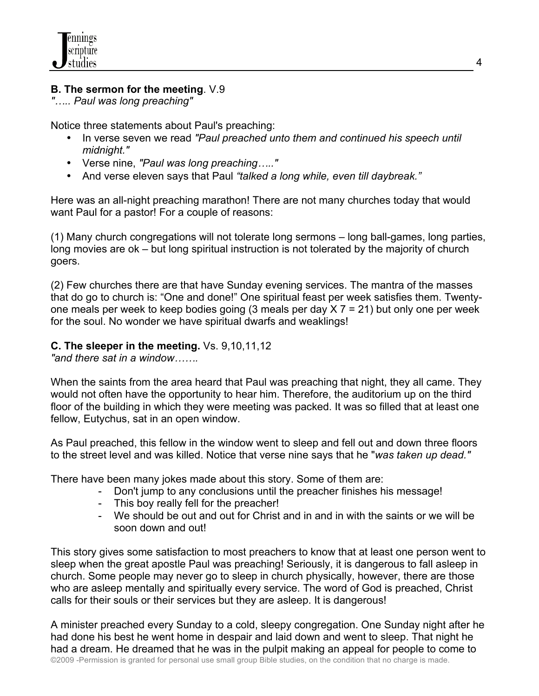# **B. The sermon for the meeting**. V.9

*"….. Paul was long preaching"*

Notice three statements about Paul's preaching:

- In verse seven we read *"Paul preached unto them and continued his speech until midnight."*
- Verse nine, *"Paul was long preaching….."*
- And verse eleven says that Paul *"talked a long while, even till daybreak."*

Here was an all-night preaching marathon! There are not many churches today that would want Paul for a pastor! For a couple of reasons:

(1) Many church congregations will not tolerate long sermons – long ball-games, long parties, long movies are ok – but long spiritual instruction is not tolerated by the majority of church goers.

(2) Few churches there are that have Sunday evening services. The mantra of the masses that do go to church is: "One and done!" One spiritual feast per week satisfies them. Twentyone meals per week to keep bodies going (3 meals per day  $X$   $7$  = 21) but only one per week for the soul. No wonder we have spiritual dwarfs and weaklings!

# **C. The sleeper in the meeting.** Vs. 9,10,11,12

*"and there sat in a window…….*

When the saints from the area heard that Paul was preaching that night, they all came. They would not often have the opportunity to hear him. Therefore, the auditorium up on the third floor of the building in which they were meeting was packed. It was so filled that at least one fellow, Eutychus, sat in an open window.

As Paul preached, this fellow in the window went to sleep and fell out and down three floors to the street level and was killed. Notice that verse nine says that he "*was taken up dead."*

There have been many jokes made about this story. Some of them are:

- Don't jump to any conclusions until the preacher finishes his message!
- This boy really fell for the preacher!
- We should be out and out for Christ and in and in with the saints or we will be soon down and out!

This story gives some satisfaction to most preachers to know that at least one person went to sleep when the great apostle Paul was preaching! Seriously, it is dangerous to fall asleep in church. Some people may never go to sleep in church physically, however, there are those who are asleep mentally and spiritually every service. The word of God is preached, Christ calls for their souls or their services but they are asleep. It is dangerous!

©2009 -Permission is granted for personal use small group Bible studies, on the condition that no charge is made. A minister preached every Sunday to a cold, sleepy congregation. One Sunday night after he had done his best he went home in despair and laid down and went to sleep. That night he had a dream. He dreamed that he was in the pulpit making an appeal for people to come to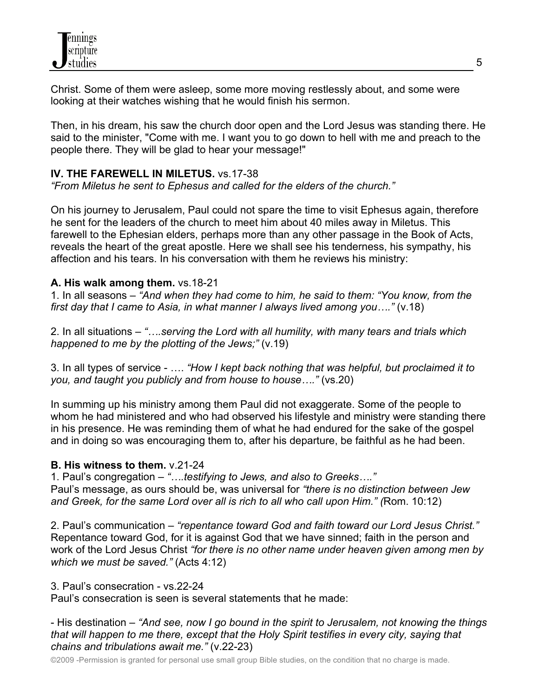Christ. Some of them were asleep, some more moving restlessly about, and some were looking at their watches wishing that he would finish his sermon.

Then, in his dream, his saw the church door open and the Lord Jesus was standing there. He said to the minister, "Come with me. I want you to go down to hell with me and preach to the people there. They will be glad to hear your message!"

#### **IV. THE FAREWELL IN MILETUS.** vs.17-38

*"From Miletus he sent to Ephesus and called for the elders of the church."*

On his journey to Jerusalem, Paul could not spare the time to visit Ephesus again, therefore he sent for the leaders of the church to meet him about 40 miles away in Miletus. This farewell to the Ephesian elders, perhaps more than any other passage in the Book of Acts, reveals the heart of the great apostle. Here we shall see his tenderness, his sympathy, his affection and his tears. In his conversation with them he reviews his ministry:

#### **A. His walk among them.** vs.18-21

1. In all seasons – *"And when they had come to him, he said to them: "You know, from the first day that I came to Asia, in what manner I always lived among you…."* (v.18)

2. In all situations – *"….serving the Lord with all humility, with many tears and trials which happened to me by the plotting of the Jews;"* (v.19)

3. In all types of service - …. *"How I kept back nothing that was helpful, but proclaimed it to you, and taught you publicly and from house to house…."* (vs.20)

In summing up his ministry among them Paul did not exaggerate. Some of the people to whom he had ministered and who had observed his lifestyle and ministry were standing there in his presence. He was reminding them of what he had endured for the sake of the gospel and in doing so was encouraging them to, after his departure, be faithful as he had been.

# **B. His witness to them.** v.21-24

1. Paul's congregation – *"….testifying to Jews, and also to Greeks…."* Paul's message, as ours should be, was universal for *"there is no distinction between Jew and Greek, for the same Lord over all is rich to all who call upon Him." (*Rom. 10:12)

2. Paul's communication – *"repentance toward God and faith toward our Lord Jesus Christ."* Repentance toward God, for it is against God that we have sinned; faith in the person and work of the Lord Jesus Christ *"for there is no other name under heaven given among men by which we must be saved."* (Acts 4:12)

#### 3. Paul's consecration - vs.22-24

Paul's consecration is seen is several statements that he made:

- His destination – *"And see, now I go bound in the spirit to Jerusalem, not knowing the things that will happen to me there, except that the Holy Spirit testifies in every city, saying that chains and tribulations await me."* (v.22-23)

©2009 -Permission is granted for personal use small group Bible studies, on the condition that no charge is made.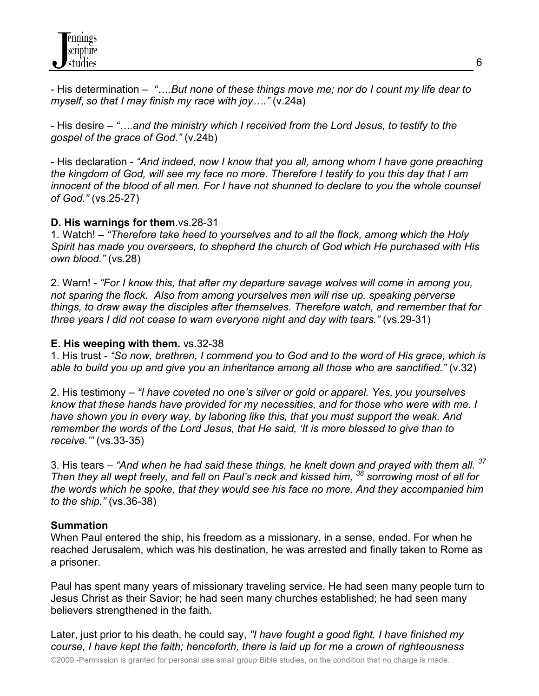- His determination – *"….But none of these things move me; nor do I count my life dear to myself, so that I may finish my race with joy…."* (v.24a)

- His desire – *"….and the ministry which I received from the Lord Jesus, to testify to the gospel of the grace of God."* (v.24b)

- His declaration - *"And indeed, now I know that you all, among whom I have gone preaching the kingdom of God, will see my face no more. Therefore I testify to you this day that I am innocent of the blood of all men. For I have not shunned to declare to you the whole counsel of God."* (vs.25-27)

# **D. His warnings for them**.vs.28-31

1. Watch! – *"Therefore take heed to yourselves and to all the flock, among which the Holy Spirit has made you overseers, to shepherd the church of God which He purchased with His own blood."* (vs.28)

2. Warn! - *"For I know this, that after my departure savage wolves will come in among you, not sparing the flock. Also from among yourselves men will rise up, speaking perverse things, to draw away the disciples after themselves. Therefore watch, and remember that for three years I did not cease to warn everyone night and day with tears."* (vs.29-31)

#### **E. His weeping with them.** vs.32-38

1. His trust - *"So now, brethren, I commend you to God and to the word of His grace, which is able to build you up and give you an inheritance among all those who are sanctified."* (v.32)

2. His testimony – *"I have coveted no one's silver or gold or apparel. Yes, you yourselves know that these hands have provided for my necessities, and for those who were with me. I have shown you in every way, by laboring like this, that you must support the weak. And remember the words of the Lord Jesus, that He said, 'It is more blessed to give than to receive.'"* (vs.33-35)

3. His tears – *"And when he had said these things, he knelt down and prayed with them all. 37 Then they all wept freely, and fell on Paul's neck and kissed him, 38 sorrowing most of all for the words which he spoke, that they would see his face no more. And they accompanied him to the ship."* (vs.36-38)

# **Summation**

When Paul entered the ship, his freedom as a missionary, in a sense, ended. For when he reached Jerusalem, which was his destination, he was arrested and finally taken to Rome as a prisoner.

Paul has spent many years of missionary traveling service. He had seen many people turn to Jesus Christ as their Savior; he had seen many churches established; he had seen many believers strengthened in the faith.

Later, just prior to his death, he could say, *"I have fought a good fight, I have finished my course, I have kept the faith; henceforth, there is laid up for me a crown of righteousness*